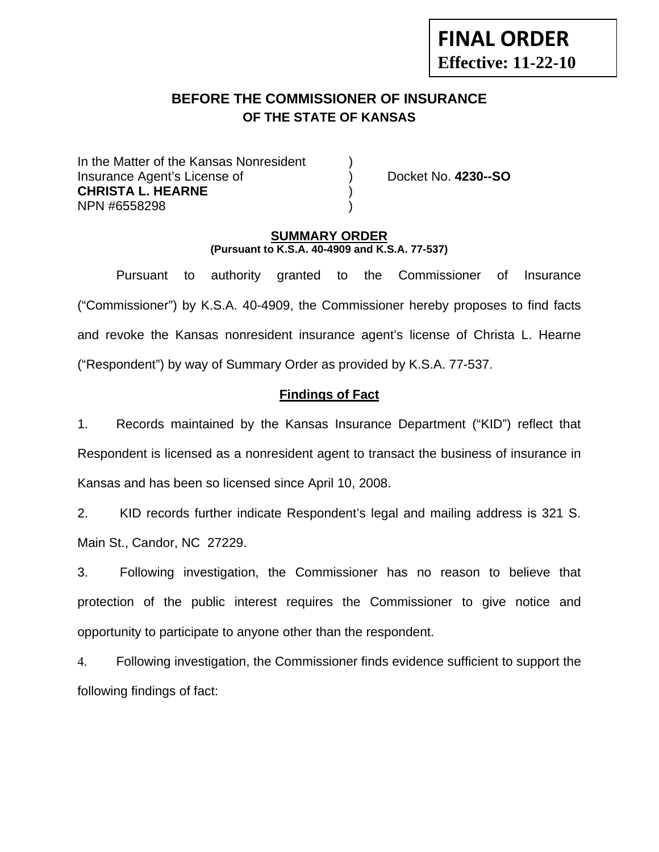# **BEFORE THE COMMISSIONER OF INSURANCE OF THE STATE OF KANSAS**

In the Matter of the Kansas Nonresident Insurance Agent's License of ) Docket No. **4230--SO CHRISTA L. HEARNE** ) NPN #6558298 )

**FINAL ORDER**

**Effective: 11-22-10** 

#### **SUMMARY ORDER (Pursuant to K.S.A. 40-4909 and K.S.A. 77-537)**

 Pursuant to authority granted to the Commissioner of Insurance ("Commissioner") by K.S.A. 40-4909, the Commissioner hereby proposes to find facts and revoke the Kansas nonresident insurance agent's license of Christa L. Hearne ("Respondent") by way of Summary Order as provided by K.S.A. 77-537.

## **Findings of Fact**

1. Records maintained by the Kansas Insurance Department ("KID") reflect that Respondent is licensed as a nonresident agent to transact the business of insurance in Kansas and has been so licensed since April 10, 2008.

2. KID records further indicate Respondent's legal and mailing address is 321 S. Main St., Candor, NC 27229.

3. Following investigation, the Commissioner has no reason to believe that protection of the public interest requires the Commissioner to give notice and opportunity to participate to anyone other than the respondent.

4. Following investigation, the Commissioner finds evidence sufficient to support the following findings of fact: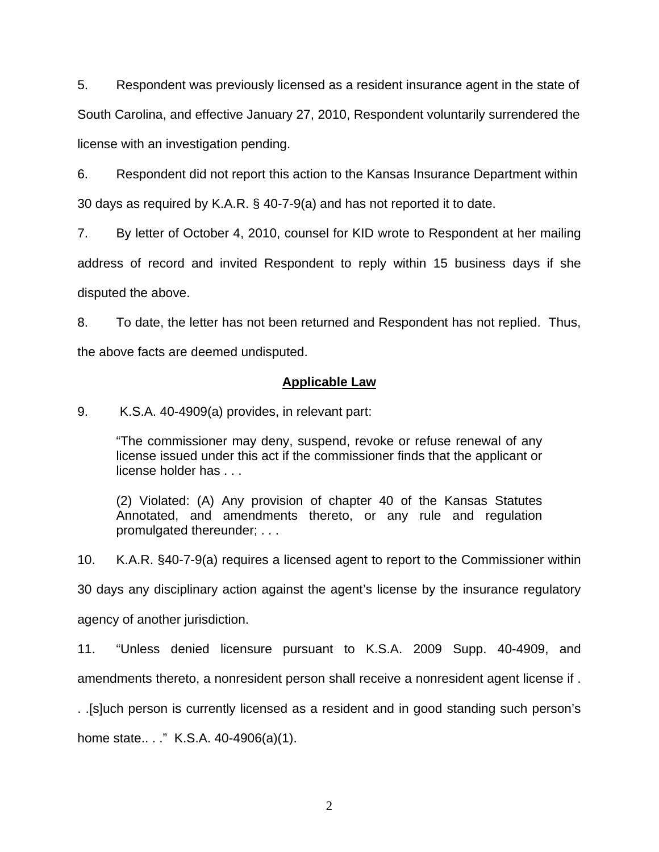5. Respondent was previously licensed as a resident insurance agent in the state of South Carolina, and effective January 27, 2010, Respondent voluntarily surrendered the license with an investigation pending.

6. Respondent did not report this action to the Kansas Insurance Department within 30 days as required by K.A.R. § 40-7-9(a) and has not reported it to date.

7. By letter of October 4, 2010, counsel for KID wrote to Respondent at her mailing address of record and invited Respondent to reply within 15 business days if she disputed the above.

8. To date, the letter has not been returned and Respondent has not replied. Thus, the above facts are deemed undisputed.

### **Applicable Law**

9. K.S.A. 40-4909(a) provides, in relevant part:

"The commissioner may deny, suspend, revoke or refuse renewal of any license issued under this act if the commissioner finds that the applicant or license holder has . . .

(2) Violated: (A) Any provision of chapter 40 of the Kansas Statutes Annotated, and amendments thereto, or any rule and regulation promulgated thereunder; . . .

10. K.A.R. §40-7-9(a) requires a licensed agent to report to the Commissioner within

30 days any disciplinary action against the agent's license by the insurance regulatory

agency of another jurisdiction.

11. "Unless denied licensure pursuant to K.S.A. 2009 Supp. 40-4909, and amendments thereto, a nonresident person shall receive a nonresident agent license if .

. .[s]uch person is currently licensed as a resident and in good standing such person's home state...." K.S.A. 40-4906(a)(1).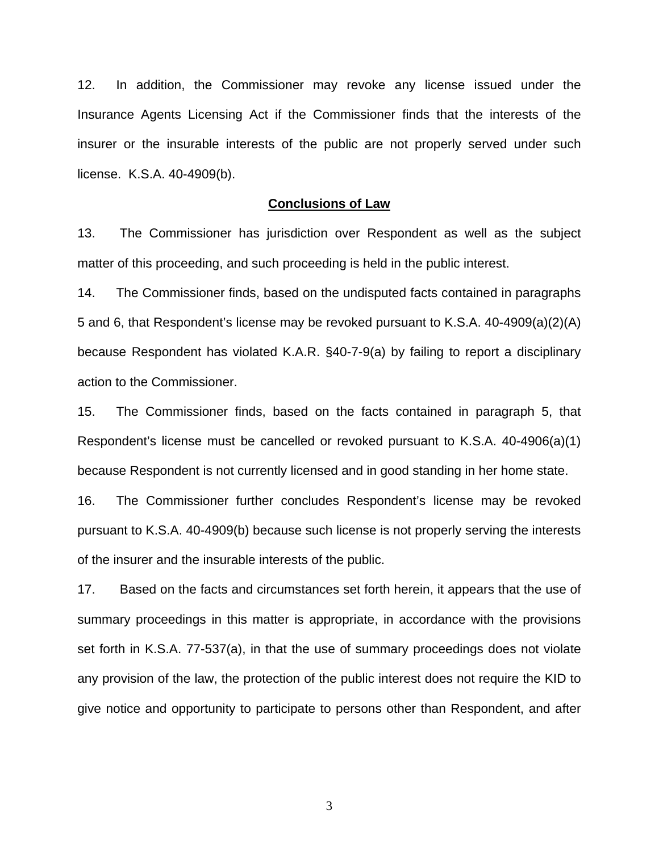12. In addition, the Commissioner may revoke any license issued under the Insurance Agents Licensing Act if the Commissioner finds that the interests of the insurer or the insurable interests of the public are not properly served under such license. K.S.A. 40-4909(b).

#### **Conclusions of Law**

13. The Commissioner has jurisdiction over Respondent as well as the subject matter of this proceeding, and such proceeding is held in the public interest.

14. The Commissioner finds, based on the undisputed facts contained in paragraphs 5 and 6, that Respondent's license may be revoked pursuant to K.S.A. 40-4909(a)(2)(A) because Respondent has violated K.A.R. §40-7-9(a) by failing to report a disciplinary action to the Commissioner.

15. The Commissioner finds, based on the facts contained in paragraph 5, that Respondent's license must be cancelled or revoked pursuant to K.S.A. 40-4906(a)(1) because Respondent is not currently licensed and in good standing in her home state.

16. The Commissioner further concludes Respondent's license may be revoked pursuant to K.S.A. 40-4909(b) because such license is not properly serving the interests of the insurer and the insurable interests of the public.

17. Based on the facts and circumstances set forth herein, it appears that the use of summary proceedings in this matter is appropriate, in accordance with the provisions set forth in K.S.A. 77-537(a), in that the use of summary proceedings does not violate any provision of the law, the protection of the public interest does not require the KID to give notice and opportunity to participate to persons other than Respondent, and after

3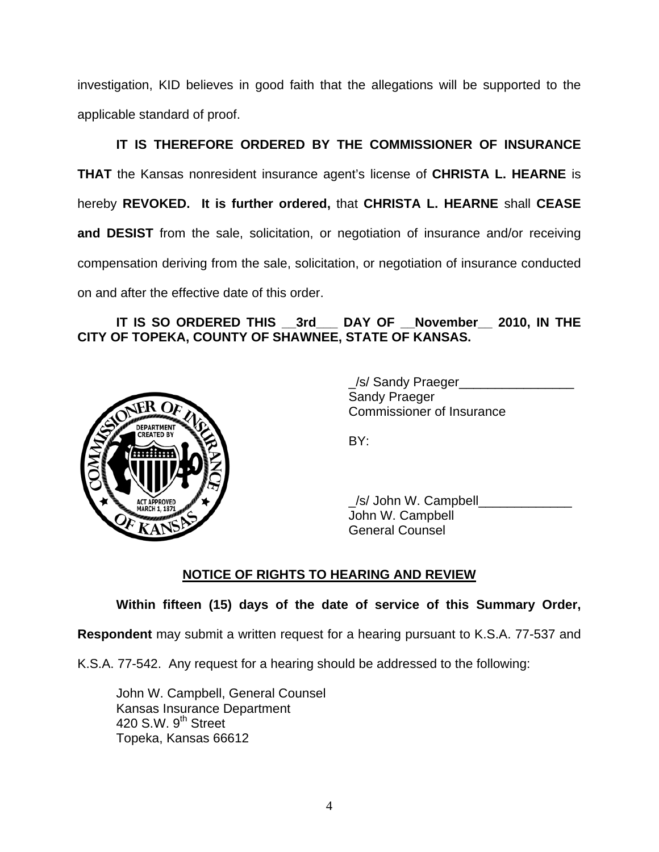investigation, KID believes in good faith that the allegations will be supported to the applicable standard of proof.

 **IT IS THEREFORE ORDERED BY THE COMMISSIONER OF INSURANCE THAT** the Kansas nonresident insurance agent's license of **CHRISTA L. HEARNE** is hereby **REVOKED. It is further ordered,** that **CHRISTA L. HEARNE** shall **CEASE and DESIST** from the sale, solicitation, or negotiation of insurance and/or receiving compensation deriving from the sale, solicitation, or negotiation of insurance conducted on and after the effective date of this order.

# IT IS SO ORDERED THIS 3rd DAY OF November 2010, IN THE **CITY OF TOPEKA, COUNTY OF SHAWNEE, STATE OF KANSAS.**



/s/ Sandy Praeger Sandy Praeger Commissioner of Insurance

/s/ John W. Campbell John W. Campbell General Counsel

# **NOTICE OF RIGHTS TO HEARING AND REVIEW**

# **Within fifteen (15) days of the date of service of this Summary Order,**

**Respondent** may submit a written request for a hearing pursuant to K.S.A. 77-537 and

K.S.A. 77-542. Any request for a hearing should be addressed to the following:

 John W. Campbell, General Counsel Kansas Insurance Department 420 S.W. 9<sup>th</sup> Street Topeka, Kansas 66612